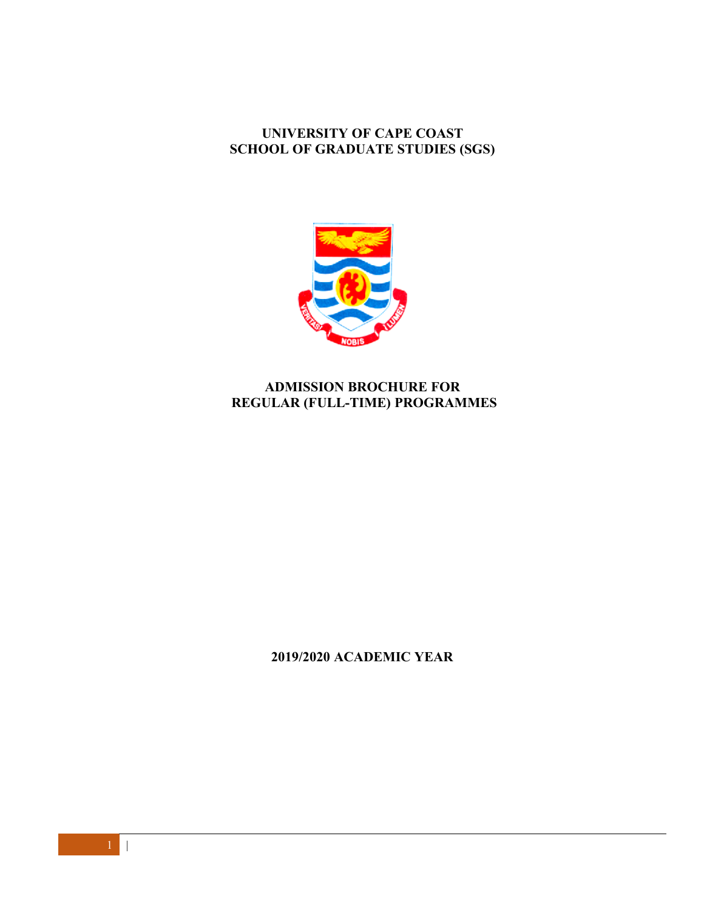## **UNIVERSITY OF CAPE COAST SCHOOL OF GRADUATE STUDIES (SGS)**



## **ADMISSION BROCHURE FOR REGULAR (FULL-TIME) PROGRAMMES**

**2019/2020 ACADEMIC YEAR**

 $\vert \cdot \vert$   $\vert$   $\vert$   $\vert$   $\vert$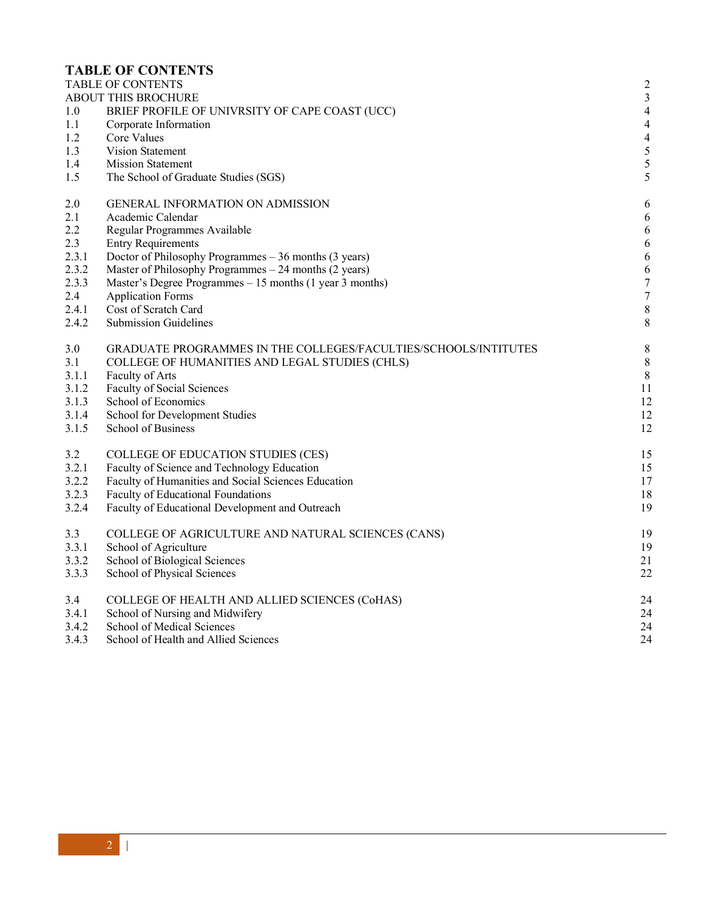## **TABLE OF CONTENTS**

|       | <b>TABLE OF CONTENTS</b>                                        | $\boldsymbol{2}$ |
|-------|-----------------------------------------------------------------|------------------|
|       | <b>ABOUT THIS BROCHURE</b>                                      | $\mathfrak{Z}$   |
| 1.0   | BRIEF PROFILE OF UNIVRSITY OF CAPE COAST (UCC)                  | $\overline{4}$   |
| 1.1   | Corporate Information                                           | $\overline{4}$   |
| 1.2   | Core Values                                                     | $\overline{4}$   |
| 1.3   | <b>Vision Statement</b>                                         | $\mathfrak{S}$   |
| 1.4   | <b>Mission Statement</b>                                        | 5                |
| 1.5   | The School of Graduate Studies (SGS)                            | 5                |
| 2.0   | GENERAL INFORMATION ON ADMISSION                                | 6                |
| 2.1   | Academic Calendar                                               | 6                |
| 2.2   | Regular Programmes Available                                    | $\sqrt{6}$       |
| 2.3   | <b>Entry Requirements</b>                                       | $\sqrt{6}$       |
| 2.3.1 | Doctor of Philosophy Programmes - 36 months (3 years)           | 6                |
| 2.3.2 | Master of Philosophy Programmes $-24$ months (2 years)          | $\sqrt{6}$       |
| 2.3.3 | Master's Degree Programmes – 15 months (1 year 3 months)        | $\boldsymbol{7}$ |
| 2.4   | <b>Application Forms</b>                                        | $\boldsymbol{7}$ |
| 2.4.1 | Cost of Scratch Card                                            | $\,8\,$          |
| 2.4.2 | <b>Submission Guidelines</b>                                    | $\,$ 8 $\,$      |
| 3.0   | GRADUATE PROGRAMMES IN THE COLLEGES/FACULTIES/SCHOOLS/INTITUTES | $\,8\,$          |
| 3.1   | COLLEGE OF HUMANITIES AND LEGAL STUDIES (CHLS)                  | $\,8\,$          |
| 3.1.1 | Faculty of Arts                                                 | $8\,$            |
| 3.1.2 | <b>Faculty of Social Sciences</b>                               | 11               |
| 3.1.3 | School of Economics                                             | 12               |
| 3.1.4 | School for Development Studies                                  | 12               |
| 3.1.5 | School of Business                                              | 12               |
| 3.2   | COLLEGE OF EDUCATION STUDIES (CES)                              | 15               |
| 3.2.1 | Faculty of Science and Technology Education                     | 15               |
| 3.2.2 | Faculty of Humanities and Social Sciences Education             | 17               |
| 3.2.3 | Faculty of Educational Foundations                              | 18               |
| 3.2.4 | Faculty of Educational Development and Outreach                 | 19               |
| 3.3   | COLLEGE OF AGRICULTURE AND NATURAL SCIENCES (CANS)              | 19               |
| 3.3.1 | School of Agriculture                                           | 19               |
| 3.3.2 | School of Biological Sciences                                   | 21               |
| 3.3.3 | School of Physical Sciences                                     | 22               |
| 3.4   | COLLEGE OF HEALTH AND ALLIED SCIENCES (CoHAS)                   | 24               |
| 3.4.1 | School of Nursing and Midwifery                                 | 24               |
| 3.4.2 | School of Medical Sciences                                      | 24               |
| 3.4.3 | School of Health and Allied Sciences                            | 24               |
|       |                                                                 |                  |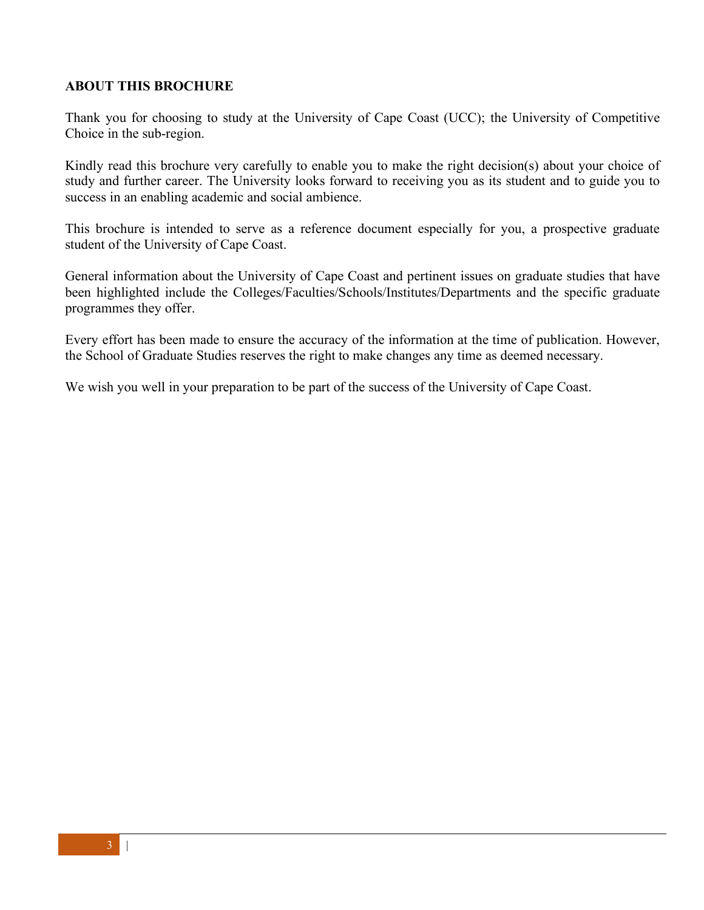#### **ABOUT THIS BROCHURE**

Thank you for choosing to study at the University of Cape Coast (UCC); the University of Competitive Choice in the sub-region.

Kindly read this brochure very carefully to enable you to make the right decision(s) about your choice of study and further career. The University looks forward to receiving you as its student and to guide you to success in an enabling academic and social ambience.

This brochure is intended to serve as a reference document especially for you, a prospective graduate student of the University of Cape Coast.

General information about the University of Cape Coast and pertinent issues on graduate studies that have been highlighted include the Colleges/Faculties/Schools/Institutes/Departments and the specific graduate programmes they offer.

Every effort has been made to ensure the accuracy of the information at the time of publication. However, the School of Graduate Studies reserves the right to make changes any time as deemed necessary.

We wish you well in your preparation to be part of the success of the University of Cape Coast.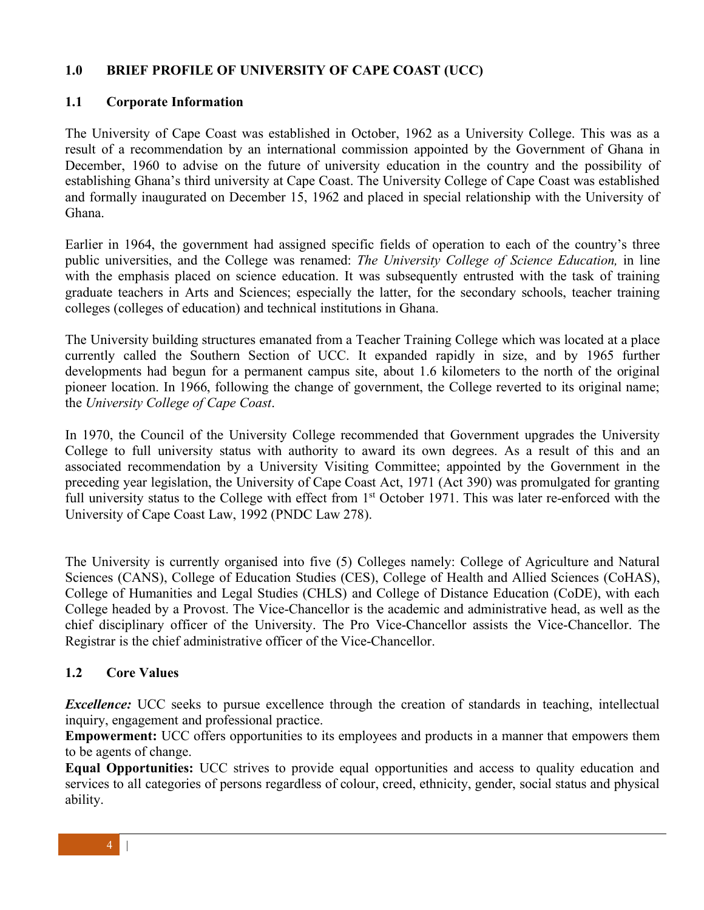### **1.0 BRIEF PROFILE OF UNIVERSITY OF CAPE COAST (UCC)**

### **1.1 Corporate Information**

The University of Cape Coast was established in October, 1962 as a University College. This was as a result of a recommendation by an international commission appointed by the Government of Ghana in December, 1960 to advise on the future of university education in the country and the possibility of establishing Ghana's third university at Cape Coast. The University College of Cape Coast was established and formally inaugurated on December 15, 1962 and placed in special relationship with the University of Ghana.

Earlier in 1964, the government had assigned specific fields of operation to each of the country's three public universities, and the College was renamed: *The University College of Science Education,* in line with the emphasis placed on science education. It was subsequently entrusted with the task of training graduate teachers in Arts and Sciences; especially the latter, for the secondary schools, teacher training colleges (colleges of education) and technical institutions in Ghana.

The University building structures emanated from a Teacher Training College which was located at a place currently called the Southern Section of UCC. It expanded rapidly in size, and by 1965 further developments had begun for a permanent campus site, about 1.6 kilometers to the north of the original pioneer location. In 1966, following the change of government, the College reverted to its original name; the *University College of Cape Coast*.

In 1970, the Council of the University College recommended that Government upgrades the University College to full university status with authority to award its own degrees. As a result of this and an associated recommendation by a University Visiting Committee; appointed by the Government in the preceding year legislation, the University of Cape Coast Act, 1971 (Act 390) was promulgated for granting full university status to the College with effect from 1<sup>st</sup> October 1971. This was later re-enforced with the University of Cape Coast Law, 1992 (PNDC Law 278).

The University is currently organised into five (5) Colleges namely: College of Agriculture and Natural Sciences (CANS), College of Education Studies (CES), College of Health and Allied Sciences (CoHAS), College of Humanities and Legal Studies (CHLS) and College of Distance Education (CoDE), with each College headed by a Provost. The Vice-Chancellor is the academic and administrative head, as well as the chief disciplinary officer of the University. The Pro Vice-Chancellor assists the Vice-Chancellor. The Registrar is the chief administrative officer of the Vice-Chancellor.

## **1.2 Core Values**

*Excellence:* UCC seeks to pursue excellence through the creation of standards in teaching, intellectual inquiry, engagement and professional practice.

**Empowerment:** UCC offers opportunities to its employees and products in a manner that empowers them to be agents of change.

**Equal Opportunities:** UCC strives to provide equal opportunities and access to quality education and services to all categories of persons regardless of colour, creed, ethnicity, gender, social status and physical ability.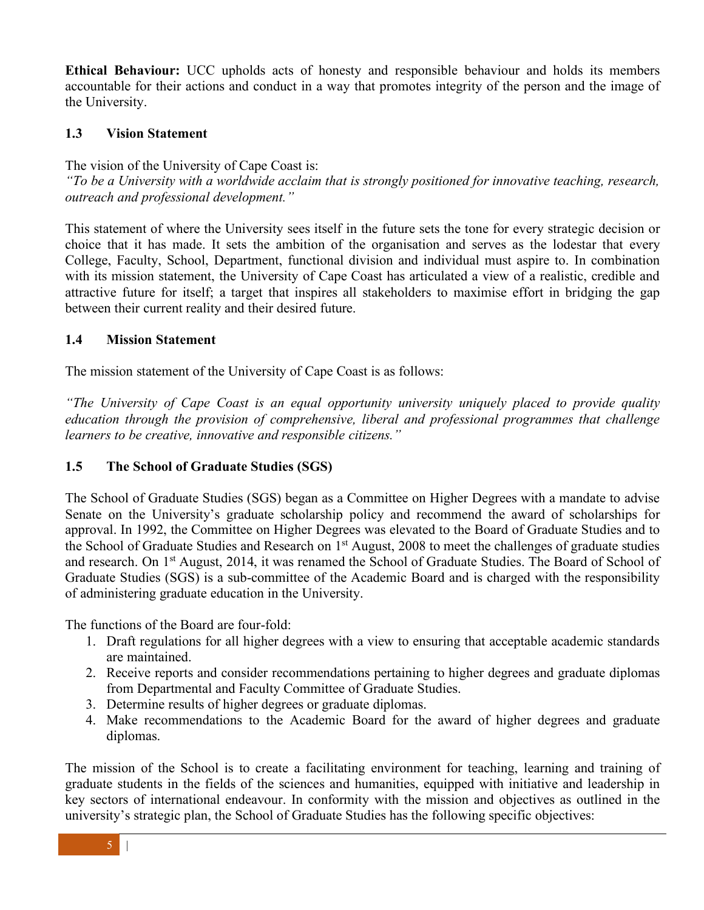**Ethical Behaviour:** UCC upholds acts of honesty and responsible behaviour and holds its members accountable for their actions and conduct in a way that promotes integrity of the person and the image of the University.

### **1.3 Vision Statement**

The vision of the University of Cape Coast is:

*"To be a University with a worldwide acclaim that is strongly positioned for innovative teaching, research, outreach and professional development."* 

This statement of where the University sees itself in the future sets the tone for every strategic decision or choice that it has made. It sets the ambition of the organisation and serves as the lodestar that every College, Faculty, School, Department, functional division and individual must aspire to. In combination with its mission statement, the University of Cape Coast has articulated a view of a realistic, credible and attractive future for itself; a target that inspires all stakeholders to maximise effort in bridging the gap between their current reality and their desired future.

### **1.4 Mission Statement**

The mission statement of the University of Cape Coast is as follows:

*"The University of Cape Coast is an equal opportunity university uniquely placed to provide quality education through the provision of comprehensive, liberal and professional programmes that challenge learners to be creative, innovative and responsible citizens."* 

## **1.5 The School of Graduate Studies (SGS)**

The School of Graduate Studies (SGS) began as a Committee on Higher Degrees with a mandate to advise Senate on the University's graduate scholarship policy and recommend the award of scholarships for approval. In 1992, the Committee on Higher Degrees was elevated to the Board of Graduate Studies and to the School of Graduate Studies and Research on 1st August, 2008 to meet the challenges of graduate studies and research. On 1st August, 2014, it was renamed the School of Graduate Studies. The Board of School of Graduate Studies (SGS) is a sub-committee of the Academic Board and is charged with the responsibility of administering graduate education in the University.

The functions of the Board are four-fold:

- 1. Draft regulations for all higher degrees with a view to ensuring that acceptable academic standards are maintained.
- 2. Receive reports and consider recommendations pertaining to higher degrees and graduate diplomas from Departmental and Faculty Committee of Graduate Studies.
- 3. Determine results of higher degrees or graduate diplomas.
- 4. Make recommendations to the Academic Board for the award of higher degrees and graduate diplomas.

The mission of the School is to create a facilitating environment for teaching, learning and training of graduate students in the fields of the sciences and humanities, equipped with initiative and leadership in key sectors of international endeavour. In conformity with the mission and objectives as outlined in the university's strategic plan, the School of Graduate Studies has the following specific objectives: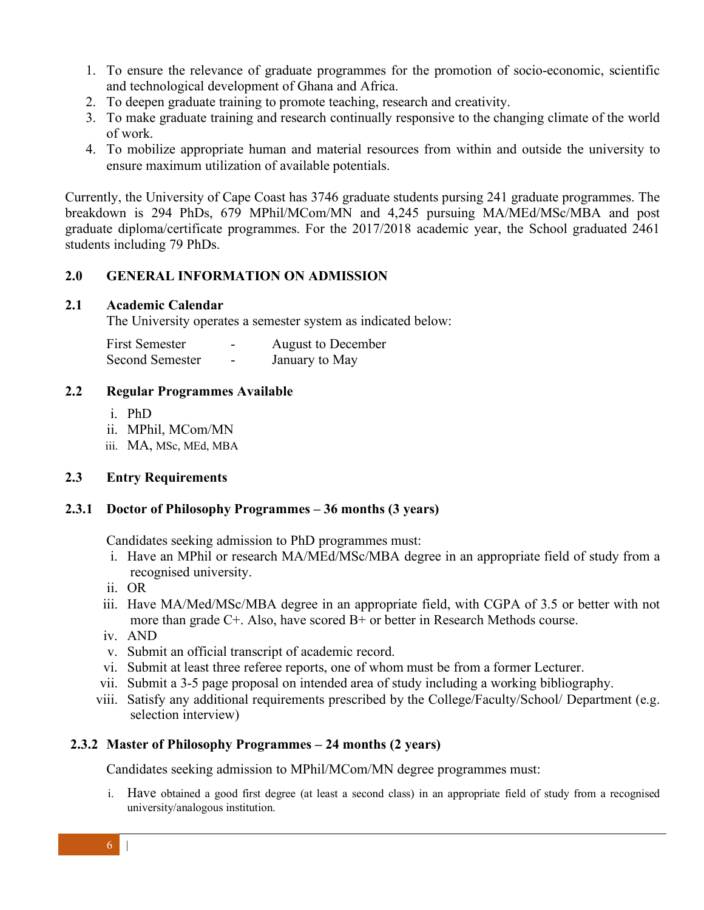- 1. To ensure the relevance of graduate programmes for the promotion of socio-economic, scientific and technological development of Ghana and Africa.
- 2. To deepen graduate training to promote teaching, research and creativity.
- 3. To make graduate training and research continually responsive to the changing climate of the world of work.
- 4. To mobilize appropriate human and material resources from within and outside the university to ensure maximum utilization of available potentials.

Currently, the University of Cape Coast has 3746 graduate students pursing 241 graduate programmes. The breakdown is 294 PhDs, 679 MPhil/MCom/MN and 4,245 pursuing MA/MEd/MSc/MBA and post graduate diploma/certificate programmes. For the 2017/2018 academic year, the School graduated 2461 students including 79 PhDs.

#### **2.0 GENERAL INFORMATION ON ADMISSION**

#### **2.1 Academic Calendar**

The University operates a semester system as indicated below:

| <b>First Semester</b> |   | <b>August to December</b> |
|-----------------------|---|---------------------------|
| Second Semester       | - | January to May            |

#### **2.2 Regular Programmes Available**

- i. PhD
- ii. MPhil, MCom/MN
- iii. MA, MSc, MEd, MBA

#### **2.3 Entry Requirements**

#### **2.3.1 Doctor of Philosophy Programmes – 36 months (3 years)**

Candidates seeking admission to PhD programmes must:

- i. Have an MPhil or research MA/MEd/MSc/MBA degree in an appropriate field of study from a recognised university.
- ii. OR
- iii. Have MA/Med/MSc/MBA degree in an appropriate field, with CGPA of 3.5 or better with not more than grade C+. Also, have scored B+ or better in Research Methods course.
- iv. AND
- v. Submit an official transcript of academic record.
- vi. Submit at least three referee reports, one of whom must be from a former Lecturer.
- vii. Submit a 3-5 page proposal on intended area of study including a working bibliography.
- viii. Satisfy any additional requirements prescribed by the College/Faculty/School/ Department (e.g. selection interview)

#### **2.3.2 Master of Philosophy Programmes – 24 months (2 years)**

Candidates seeking admission to MPhil/MCom/MN degree programmes must:

i. Have obtained a good first degree (at least a second class) in an appropriate field of study from a recognised university/analogous institution.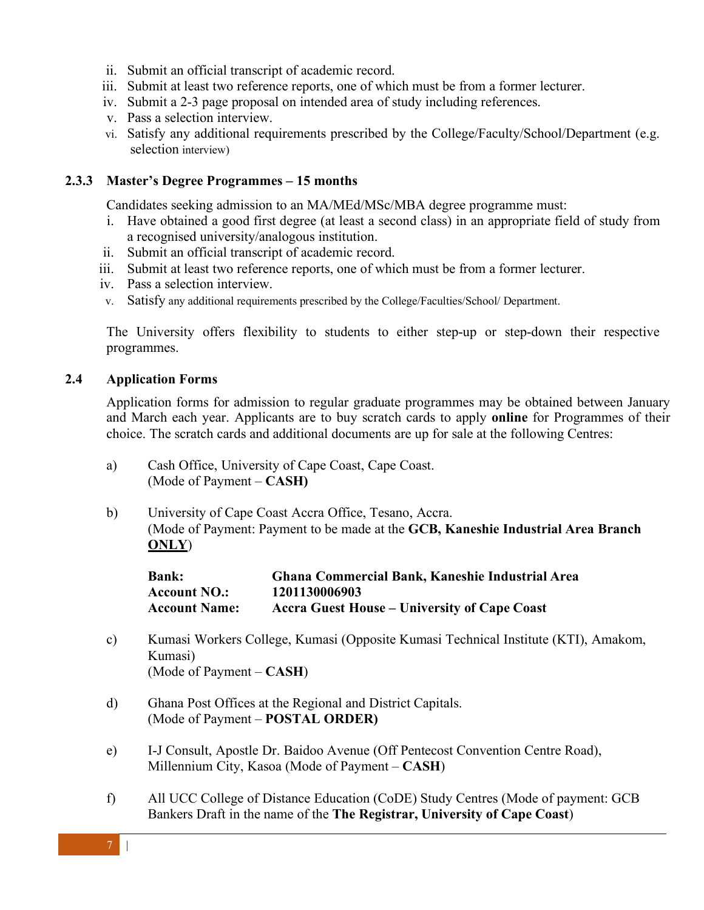- ii. Submit an official transcript of academic record.
- iii. Submit at least two reference reports, one of which must be from a former lecturer.
- iv. Submit a 2-3 page proposal on intended area of study including references.
- v. Pass a selection interview.
- vi. Satisfy any additional requirements prescribed by the College/Faculty/School/Department (e.g. selection interview)

#### **2.3.3 Master's Degree Programmes – 15 months**

Candidates seeking admission to an MA/MEd/MSc/MBA degree programme must:

- i. Have obtained a good first degree (at least a second class) in an appropriate field of study from a recognised university/analogous institution.
- ii. Submit an official transcript of academic record.
- iii. Submit at least two reference reports, one of which must be from a former lecturer.
- iv. Pass a selection interview.
- v. Satisfy any additional requirements prescribed by the College/Faculties/School/ Department.

The University offers flexibility to students to either step-up or step-down their respective programmes.

#### **2.4 Application Forms**

Application forms for admission to regular graduate programmes may be obtained between January and March each year. Applicants are to buy scratch cards to apply **online** for Programmes of their choice. The scratch cards and additional documents are up for sale at the following Centres:

- a) Cash Office, University of Cape Coast, Cape Coast. (Mode of Payment – **CASH)**
- b) University of Cape Coast Accra Office, Tesano, Accra. (Mode of Payment: Payment to be made at the **GCB, Kaneshie Industrial Area Branch ONLY**)

| <b>Bank:</b>         | Ghana Commercial Bank, Kaneshie Industrial Area     |
|----------------------|-----------------------------------------------------|
| <b>Account NO.:</b>  | 1201130006903                                       |
| <b>Account Name:</b> | <b>Accra Guest House – University of Cape Coast</b> |

- c) Kumasi Workers College, Kumasi (Opposite Kumasi Technical Institute (KTI), Amakom, Kumasi) (Mode of Payment – **CASH**)
- d) Ghana Post Offices at the Regional and District Capitals. (Mode of Payment – **POSTAL ORDER)**
- e) I-J Consult, Apostle Dr. Baidoo Avenue (Off Pentecost Convention Centre Road), Millennium City, Kasoa (Mode of Payment – **CASH**)
- f) All UCC College of Distance Education (CoDE) Study Centres (Mode of payment: GCB Bankers Draft in the name of the **The Registrar, University of Cape Coast**)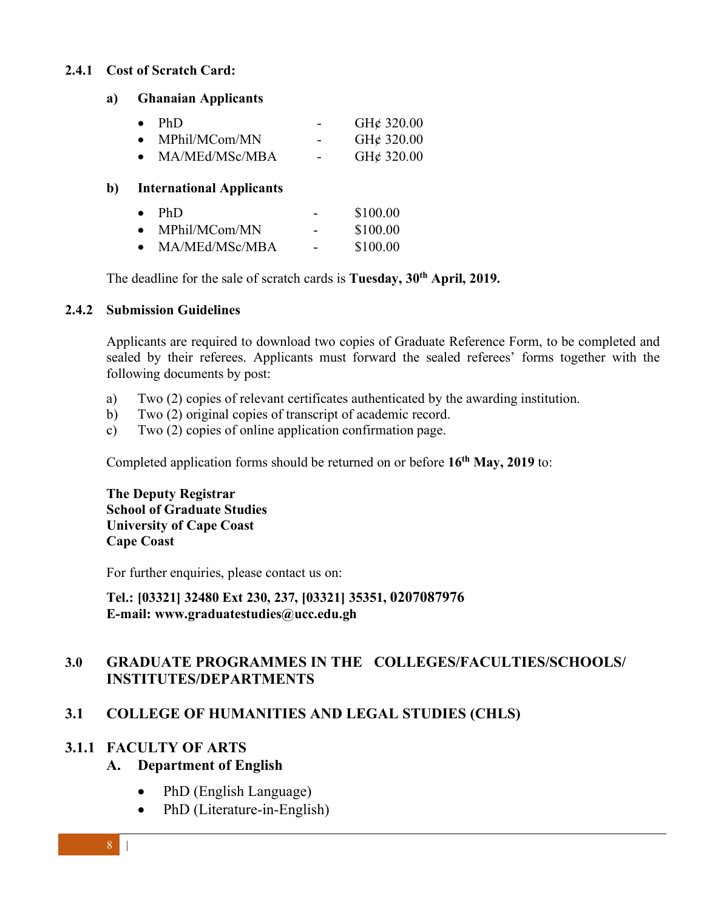#### **2.4.1 Cost of Scratch Card:**

**a) Ghanaian Applicants**

| PhD            | $\overline{\phantom{0}}$ | GH $\epsilon$ 320.00 |
|----------------|--------------------------|----------------------|
| MPhil/MCom/MN  | $\sim$                   | GH $\epsilon$ 320.00 |
| MA/MEd/MSc/MBA | -                        | GH¢ 320.00           |

#### **b) International Applicants**

| $\bullet$ | PhD            | - | \$100.00 |
|-----------|----------------|---|----------|
| $\bullet$ | MPhil/MCom/MN  | - | \$100.00 |
| $\bullet$ | MA/MEd/MSc/MBA | - | \$100.00 |

The deadline for the sale of scratch cards is **Tuesday, 30th April, 2019.**

#### **2.4.2 Submission Guidelines**

Applicants are required to download two copies of Graduate Reference Form, to be completed and sealed by their referees. Applicants must forward the sealed referees' forms together with the following documents by post:

- a) Two (2) copies of relevant certificates authenticated by the awarding institution.
- b) Two (2) original copies of transcript of academic record.
- c) Two (2) copies of online application confirmation page.

Completed application forms should be returned on or before **16th May, 2019** to:

**The Deputy Registrar School of Graduate Studies University of Cape Coast Cape Coast**

For further enquiries, please contact us on:

**Tel.: [03321] 32480 Ext 230, 237, [03321] 35351, 0207087976 E-mail: www.graduatestudies@ucc.edu.gh**

## **3.0 GRADUATE PROGRAMMES IN THE COLLEGES/FACULTIES/SCHOOLS/ INSTITUTES/DEPARTMENTS**

## **3.1 COLLEGE OF HUMANITIES AND LEGAL STUDIES (CHLS)**

## **3.1.1 FACULTY OF ARTS**

## **A. Department of English**

- PhD (English Language)
- PhD (Literature-in-English)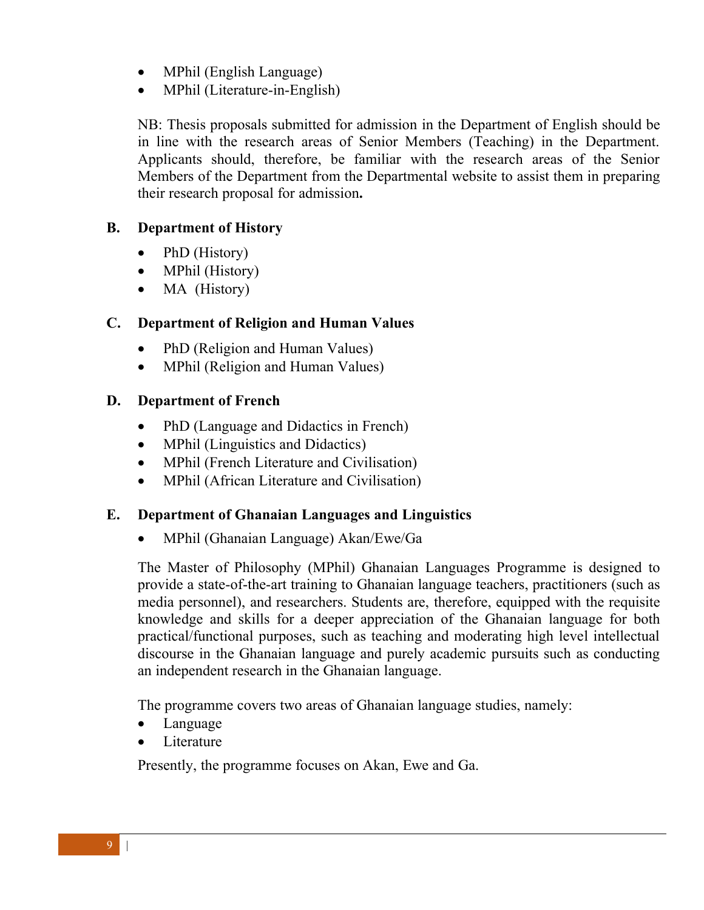- MPhil (English Language)
- MPhil (Literature-in-English)

NB: Thesis proposals submitted for admission in the Department of English should be in line with the research areas of Senior Members (Teaching) in the Department. Applicants should, therefore, be familiar with the research areas of the Senior Members of the Department from the Departmental website to assist them in preparing their research proposal for admission**.**

## **B. Department of History**

- PhD (History)
- MPhil (History)
- MA (History)

## **C. Department of Religion and Human Values**

- PhD (Religion and Human Values)
- MPhil (Religion and Human Values)

## **D. Department of French**

- PhD (Language and Didactics in French)
- MPhil (Linguistics and Didactics)
- MPhil (French Literature and Civilisation)
- MPhil (African Literature and Civilisation)

## **E. Department of Ghanaian Languages and Linguistics**

• MPhil (Ghanaian Language) Akan/Ewe/Ga

The Master of Philosophy (MPhil) Ghanaian Languages Programme is designed to provide a state-of-the-art training to Ghanaian language teachers, practitioners (such as media personnel), and researchers. Students are, therefore, equipped with the requisite knowledge and skills for a deeper appreciation of the Ghanaian language for both practical/functional purposes, such as teaching and moderating high level intellectual discourse in the Ghanaian language and purely academic pursuits such as conducting an independent research in the Ghanaian language.

The programme covers two areas of Ghanaian language studies, namely:

- Language
- L<sub>iterature</sub>

Presently, the programme focuses on Akan, Ewe and Ga.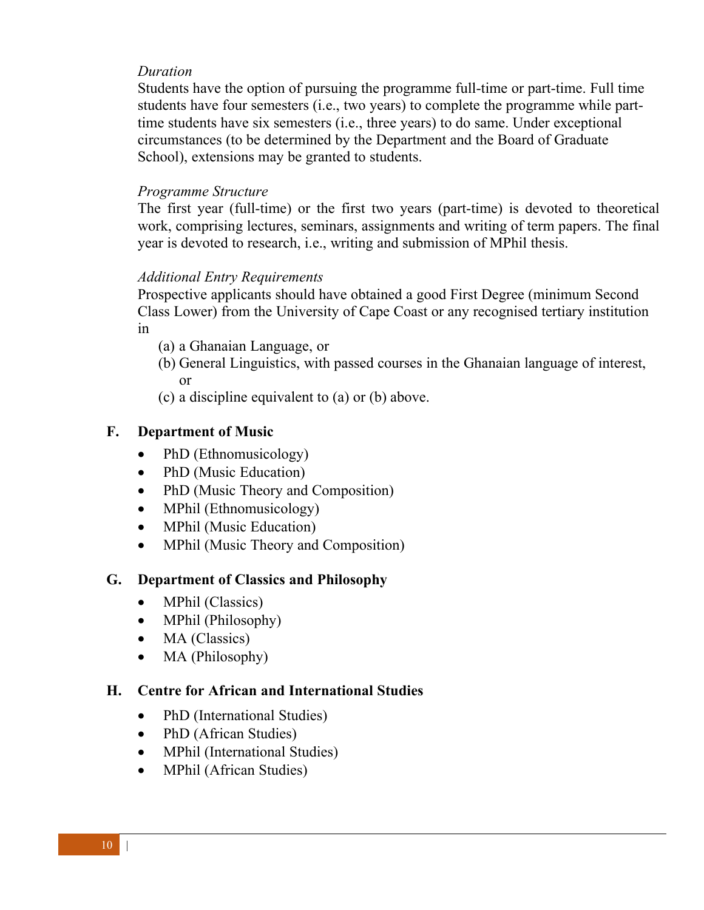## *Duration*

Students have the option of pursuing the programme full-time or part-time. Full time students have four semesters (i.e., two years) to complete the programme while parttime students have six semesters (i.e., three years) to do same. Under exceptional circumstances (to be determined by the Department and the Board of Graduate School), extensions may be granted to students.

## *Programme Structure*

The first year (full-time) or the first two years (part-time) is devoted to theoretical work, comprising lectures, seminars, assignments and writing of term papers. The final year is devoted to research, i.e., writing and submission of MPhil thesis.

# *Additional Entry Requirements*

Prospective applicants should have obtained a good First Degree (minimum Second Class Lower) from the University of Cape Coast or any recognised tertiary institution in

- (a) a Ghanaian Language, or
- (b) General Linguistics, with passed courses in the Ghanaian language of interest, or
- (c) a discipline equivalent to (a) or (b) above.

# **F. Department of Music**

- PhD (Ethnomusicology)
- PhD (Music Education)
- PhD (Music Theory and Composition)
- MPhil (Ethnomusicology)
- MPhil (Music Education)
- MPhil (Music Theory and Composition)

# **G. Department of Classics and Philosophy**

- MPhil (Classics)
- MPhil (Philosophy)
- MA (Classics)
- MA (Philosophy)

# **H. Centre for African and International Studies**

- PhD (International Studies)
- PhD (African Studies)
- MPhil (International Studies)
- MPhil (African Studies)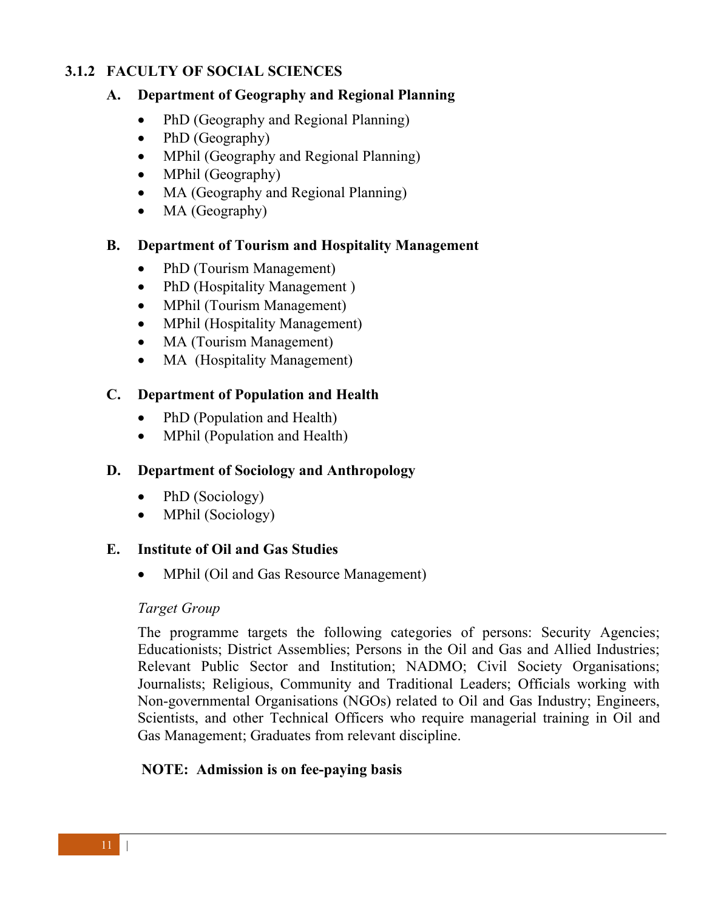# **3.1.2 FACULTY OF SOCIAL SCIENCES**

## **A. Department of Geography and Regional Planning**

- PhD (Geography and Regional Planning)
- PhD (Geography)
- MPhil (Geography and Regional Planning)
- MPhil (Geography)
- MA (Geography and Regional Planning)
- MA (Geography)

# **B. Department of Tourism and Hospitality Management**

- PhD (Tourism Management)
- PhD (Hospitality Management)
- MPhil (Tourism Management)
- MPhil (Hospitality Management)
- MA (Tourism Management)
- MA (Hospitality Management)

# **C. Department of Population and Health**

- PhD (Population and Health)
- MPhil (Population and Health)

# **D. Department of Sociology and Anthropology**

- PhD (Sociology)
- MPhil (Sociology)

# **E. Institute of Oil and Gas Studies**

• MPhil (Oil and Gas Resource Management)

# *Target Group*

The programme targets the following categories of persons: Security Agencies; Educationists; District Assemblies; Persons in the Oil and Gas and Allied Industries; Relevant Public Sector and Institution; NADMO; Civil Society Organisations; Journalists; Religious, Community and Traditional Leaders; Officials working with Non-governmental Organisations (NGOs) related to Oil and Gas Industry; Engineers, Scientists, and other Technical Officers who require managerial training in Oil and Gas Management; Graduates from relevant discipline.

# **NOTE: Admission is on fee-paying basis**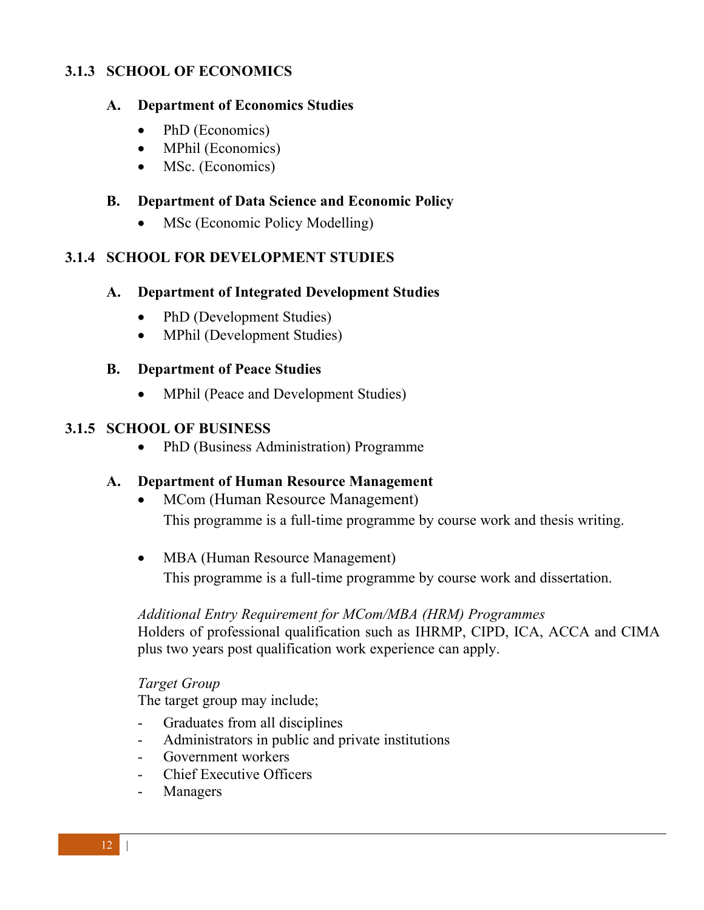## **3.1.3 SCHOOL OF ECONOMICS**

## **A. Department of Economics Studies**

- PhD (Economics)
- MPhil (Economics)
- MSc. (Economics)

## **B. Department of Data Science and Economic Policy**

• MSc (Economic Policy Modelling)

## **3.1.4 SCHOOL FOR DEVELOPMENT STUDIES**

## **A. Department of Integrated Development Studies**

- PhD (Development Studies)
- MPhil (Development Studies)

## **B. Department of Peace Studies**

• MPhil (Peace and Development Studies)

## **3.1.5 SCHOOL OF BUSINESS**

• PhD (Business Administration) Programme

## **A. Department of Human Resource Management**

- MCom (Human Resource Management) This programme is a full-time programme by course work and thesis writing.
- MBA (Human Resource Management) This programme is a full-time programme by course work and dissertation.

## *Additional Entry Requirement for MCom/MBA (HRM) Programmes*

Holders of professional qualification such as IHRMP, CIPD, ICA, ACCA and CIMA plus two years post qualification work experience can apply.

## *Target Group*

The target group may include;

- Graduates from all disciplines
- Administrators in public and private institutions
- Government workers
- Chief Executive Officers
- **Managers**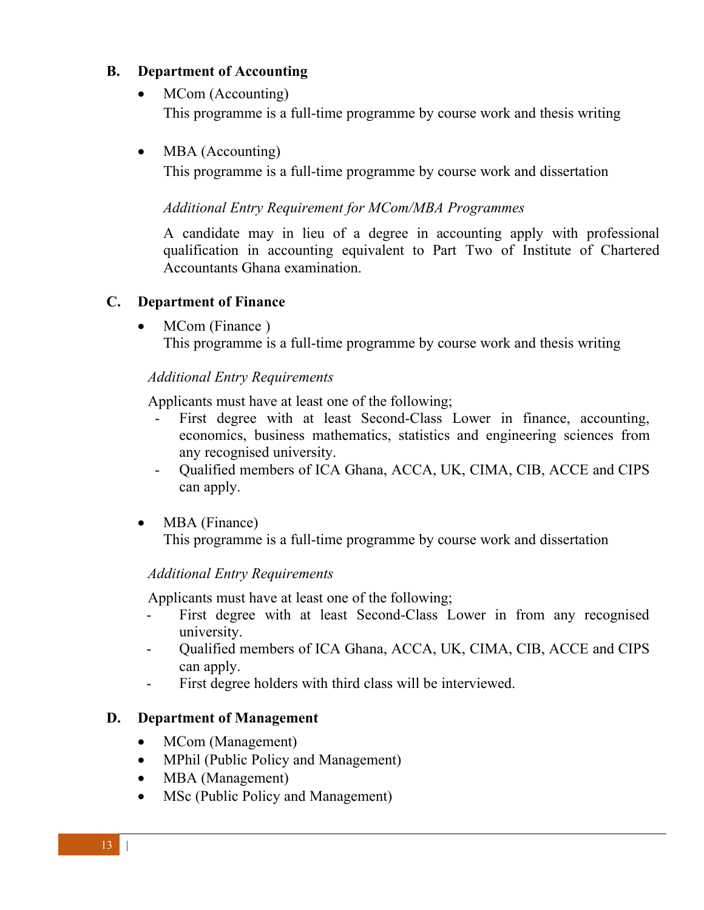## **B. Department of Accounting**

- MCom (Accounting) This programme is a full-time programme by course work and thesis writing
- MBA (Accounting)

This programme is a full-time programme by course work and dissertation

## *Additional Entry Requirement for MCom/MBA Programmes*

A candidate may in lieu of a degree in accounting apply with professional qualification in accounting equivalent to Part Two of Institute of Chartered Accountants Ghana examination.

# **C. Department of Finance**

MCom (Finance)

This programme is a full-time programme by course work and thesis writing

## *Additional Entry Requirements*

Applicants must have at least one of the following;

- First degree with at least Second-Class Lower in finance, accounting, economics, business mathematics, statistics and engineering sciences from any recognised university.
- Qualified members of ICA Ghana, ACCA, UK, CIMA, CIB, ACCE and CIPS can apply.
- MBA (Finance)

This programme is a full-time programme by course work and dissertation

# *Additional Entry Requirements*

Applicants must have at least one of the following;

- First degree with at least Second-Class Lower in from any recognised university.
- Qualified members of ICA Ghana, ACCA, UK, CIMA, CIB, ACCE and CIPS can apply.
- First degree holders with third class will be interviewed.

## **D. Department of Management**

- MCom (Management)
- MPhil (Public Policy and Management)
- MBA (Management)
- MSc (Public Policy and Management)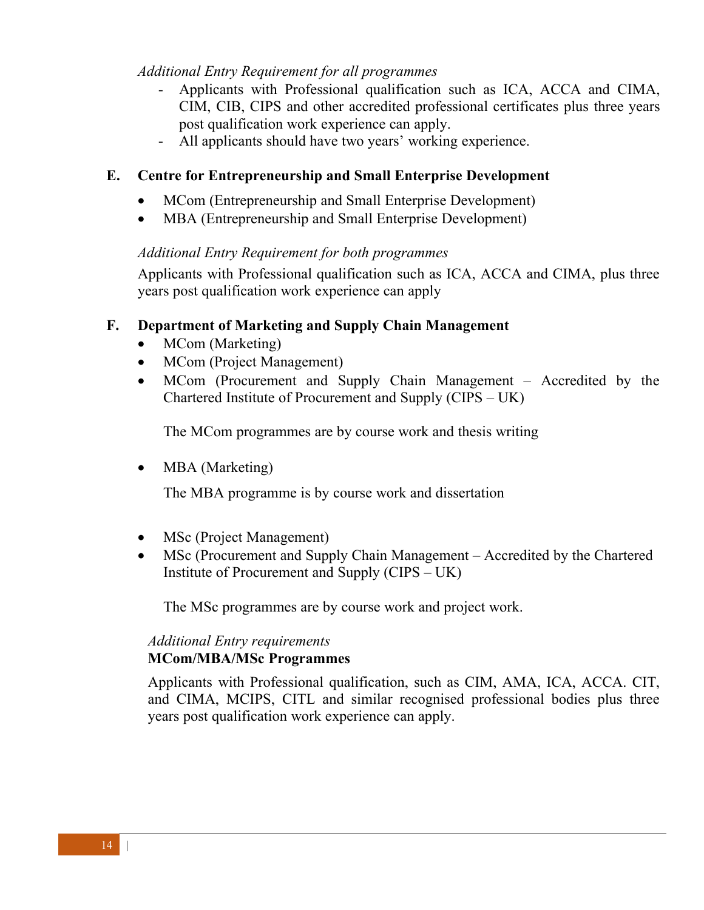## *Additional Entry Requirement for all programmes*

- Applicants with Professional qualification such as ICA, ACCA and CIMA, CIM, CIB, CIPS and other accredited professional certificates plus three years post qualification work experience can apply.
- All applicants should have two years' working experience.

# **E. Centre for Entrepreneurship and Small Enterprise Development**

- MCom (Entrepreneurship and Small Enterprise Development)
- MBA (Entrepreneurship and Small Enterprise Development)

# *Additional Entry Requirement for both programmes*

Applicants with Professional qualification such as ICA, ACCA and CIMA, plus three years post qualification work experience can apply

# **F. Department of Marketing and Supply Chain Management**

- MCom (Marketing)
- MCom (Project Management)
- MCom (Procurement and Supply Chain Management Accredited by the Chartered Institute of Procurement and Supply (CIPS – UK)

The MCom programmes are by course work and thesis writing

MBA (Marketing)

The MBA programme is by course work and dissertation

- MSc (Project Management)
- MSc (Procurement and Supply Chain Management Accredited by the Chartered Institute of Procurement and Supply (CIPS – UK)

The MSc programmes are by course work and project work.

# *Additional Entry requirements*

# **MCom/MBA/MSc Programmes**

Applicants with Professional qualification, such as CIM, AMA, ICA, ACCA. CIT, and CIMA, MCIPS, CITL and similar recognised professional bodies plus three years post qualification work experience can apply.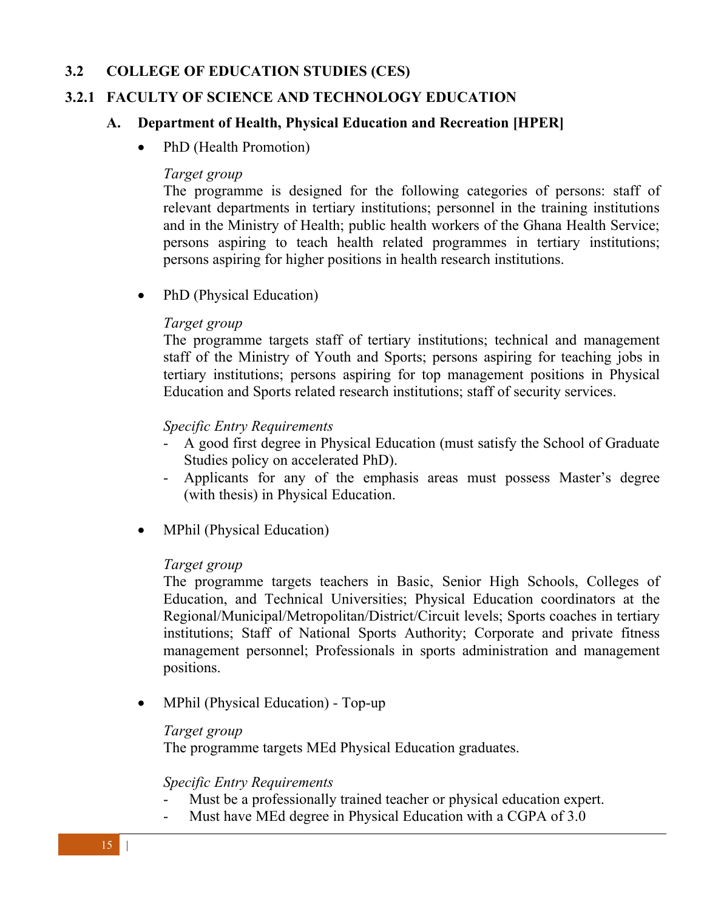## **3.2 COLLEGE OF EDUCATION STUDIES (CES)**

## **3.2.1 FACULTY OF SCIENCE AND TECHNOLOGY EDUCATION**

## **A. Department of Health, Physical Education and Recreation [HPER]**

• PhD (Health Promotion)

#### *Target group*

The programme is designed for the following categories of persons: staff of relevant departments in tertiary institutions; personnel in the training institutions and in the Ministry of Health; public health workers of the Ghana Health Service; persons aspiring to teach health related programmes in tertiary institutions; persons aspiring for higher positions in health research institutions.

• PhD (Physical Education)

#### *Target group*

The programme targets staff of tertiary institutions; technical and management staff of the Ministry of Youth and Sports; persons aspiring for teaching jobs in tertiary institutions; persons aspiring for top management positions in Physical Education and Sports related research institutions; staff of security services.

## *Specific Entry Requirements*

- A good first degree in Physical Education (must satisfy the School of Graduate Studies policy on accelerated PhD).
- Applicants for any of the emphasis areas must possess Master's degree (with thesis) in Physical Education.
- MPhil (Physical Education)

## *Target group*

The programme targets teachers in Basic, Senior High Schools, Colleges of Education, and Technical Universities; Physical Education coordinators at the Regional/Municipal/Metropolitan/District/Circuit levels; Sports coaches in tertiary institutions; Staff of National Sports Authority; Corporate and private fitness management personnel; Professionals in sports administration and management positions.

• MPhil (Physical Education) - Top-up

## *Target group*

The programme targets MEd Physical Education graduates.

#### *Specific Entry Requirements*

- Must be a professionally trained teacher or physical education expert.
- Must have MEd degree in Physical Education with a CGPA of 3.0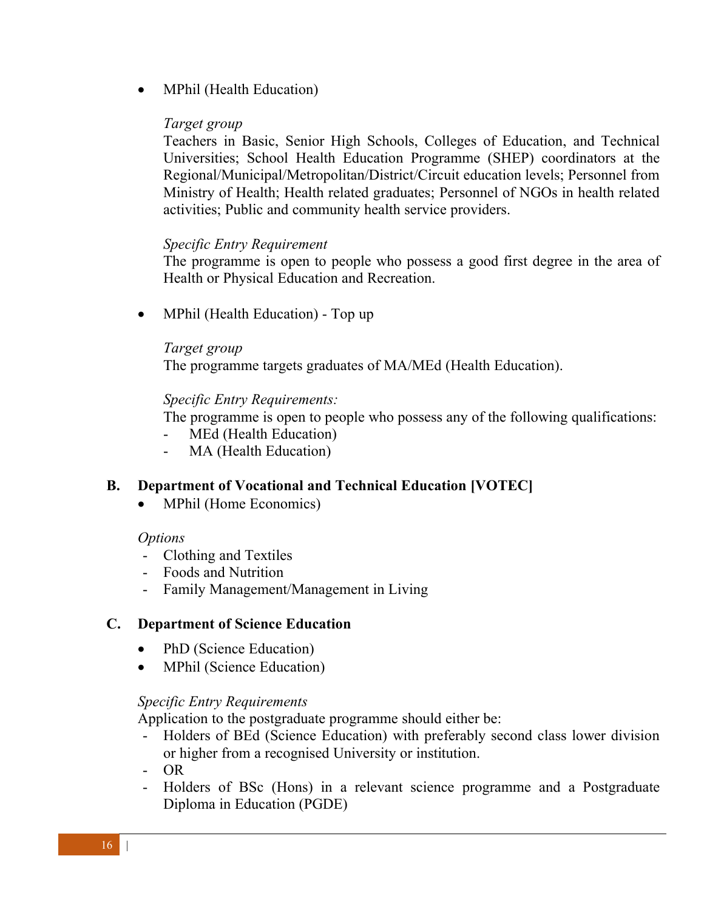• MPhil (Health Education)

## *Target group*

Teachers in Basic, Senior High Schools, Colleges of Education, and Technical Universities; School Health Education Programme (SHEP) coordinators at the Regional/Municipal/Metropolitan/District/Circuit education levels; Personnel from Ministry of Health; Health related graduates; Personnel of NGOs in health related activities; Public and community health service providers.

## *Specific Entry Requirement*

The programme is open to people who possess a good first degree in the area of Health or Physical Education and Recreation.

• MPhil (Health Education) - Top up

### *Target group*

The programme targets graduates of MA/MEd (Health Education).

## *Specific Entry Requirements:*

The programme is open to people who possess any of the following qualifications:

- MEd (Health Education)
- MA (Health Education)

# **B. Department of Vocational and Technical Education [VOTEC]**

• MPhil (Home Economics)

## *Options*

- Clothing and Textiles
- Foods and Nutrition
- Family Management/Management in Living

## **C. Department of Science Education**

- PhD (Science Education)
- MPhil (Science Education)

## *Specific Entry Requirements*

Application to the postgraduate programme should either be:

- Holders of BEd (Science Education) with preferably second class lower division or higher from a recognised University or institution.
- OR
- Holders of BSc (Hons) in a relevant science programme and a Postgraduate Diploma in Education (PGDE)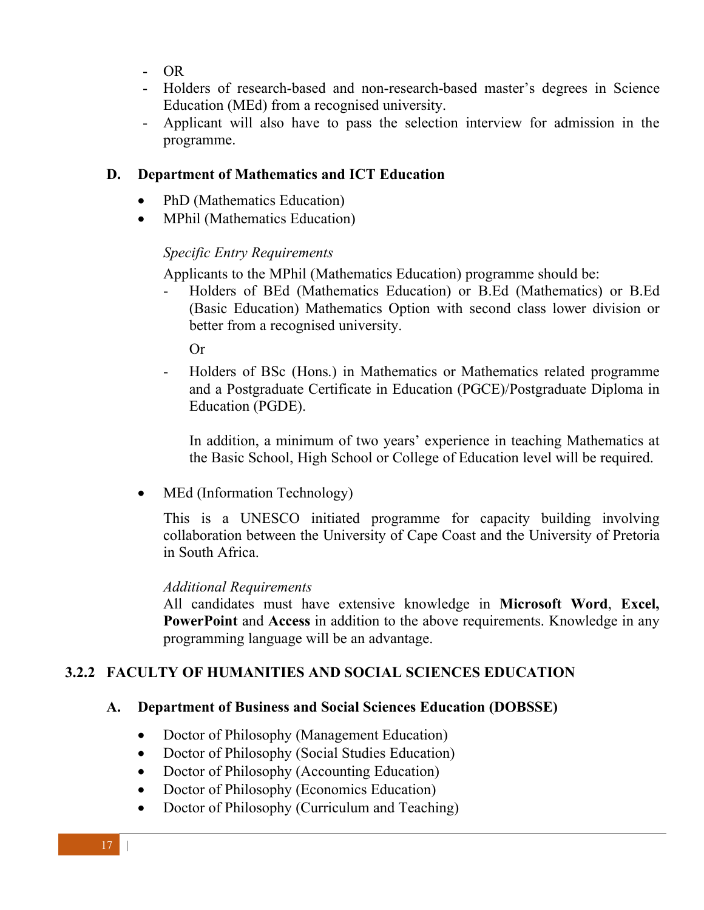- OR
- Holders of research-based and non-research-based master's degrees in Science Education (MEd) from a recognised university.
- Applicant will also have to pass the selection interview for admission in the programme.

## **D. Department of Mathematics and ICT Education**

- PhD (Mathematics Education)
- MPhil (Mathematics Education)

## *Specific Entry Requirements*

Applicants to the MPhil (Mathematics Education) programme should be:

- Holders of BEd (Mathematics Education) or B.Ed (Mathematics) or B.Ed (Basic Education) Mathematics Option with second class lower division or better from a recognised university.

Or

- Holders of BSc (Hons.) in Mathematics or Mathematics related programme and a Postgraduate Certificate in Education (PGCE)/Postgraduate Diploma in Education (PGDE).

In addition, a minimum of two years' experience in teaching Mathematics at the Basic School, High School or College of Education level will be required.

MEd (Information Technology)

This is a UNESCO initiated programme for capacity building involving collaboration between the University of Cape Coast and the University of Pretoria in South Africa.

## *Additional Requirements*

All candidates must have extensive knowledge in **Microsoft Word**, **Excel, PowerPoint** and **Access** in addition to the above requirements. Knowledge in any programming language will be an advantage.

# **3.2.2 FACULTY OF HUMANITIES AND SOCIAL SCIENCES EDUCATION**

## **A. Department of Business and Social Sciences Education (DOBSSE)**

- Doctor of Philosophy (Management Education)
- Doctor of Philosophy (Social Studies Education)
- Doctor of Philosophy (Accounting Education)
- Doctor of Philosophy (Economics Education)
- Doctor of Philosophy (Curriculum and Teaching)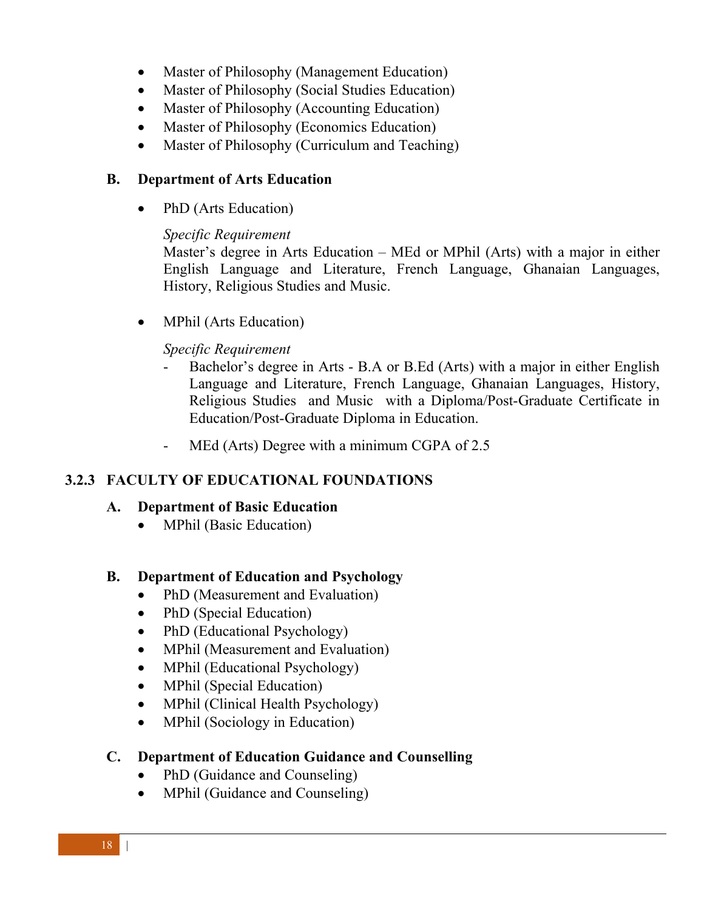- Master of Philosophy (Management Education)
- Master of Philosophy (Social Studies Education)
- Master of Philosophy (Accounting Education)
- Master of Philosophy (Economics Education)
- Master of Philosophy (Curriculum and Teaching)

## **B. Department of Arts Education**

• PhD (Arts Education)

### *Specific Requirement*

Master's degree in Arts Education – MEd or MPhil (Arts) with a major in either English Language and Literature, French Language, Ghanaian Languages, History, Religious Studies and Music.

• MPhil (Arts Education)

## *Specific Requirement*

- Bachelor's degree in Arts B.A or B.Ed (Arts) with a major in either English Language and Literature, French Language, Ghanaian Languages, History, Religious Studies and Music with a Diploma/Post-Graduate Certificate in Education/Post-Graduate Diploma in Education.
- MEd (Arts) Degree with a minimum CGPA of 2.5

## **3.2.3 FACULTY OF EDUCATIONAL FOUNDATIONS**

## **A. Department of Basic Education**

• MPhil (Basic Education)

## **B. Department of Education and Psychology**

- PhD (Measurement and Evaluation)
- PhD (Special Education)
- PhD (Educational Psychology)
- MPhil (Measurement and Evaluation)
- MPhil (Educational Psychology)
- MPhil (Special Education)
- MPhil (Clinical Health Psychology)
- MPhil (Sociology in Education)

## **C. Department of Education Guidance and Counselling**

- PhD (Guidance and Counseling)
- MPhil (Guidance and Counseling)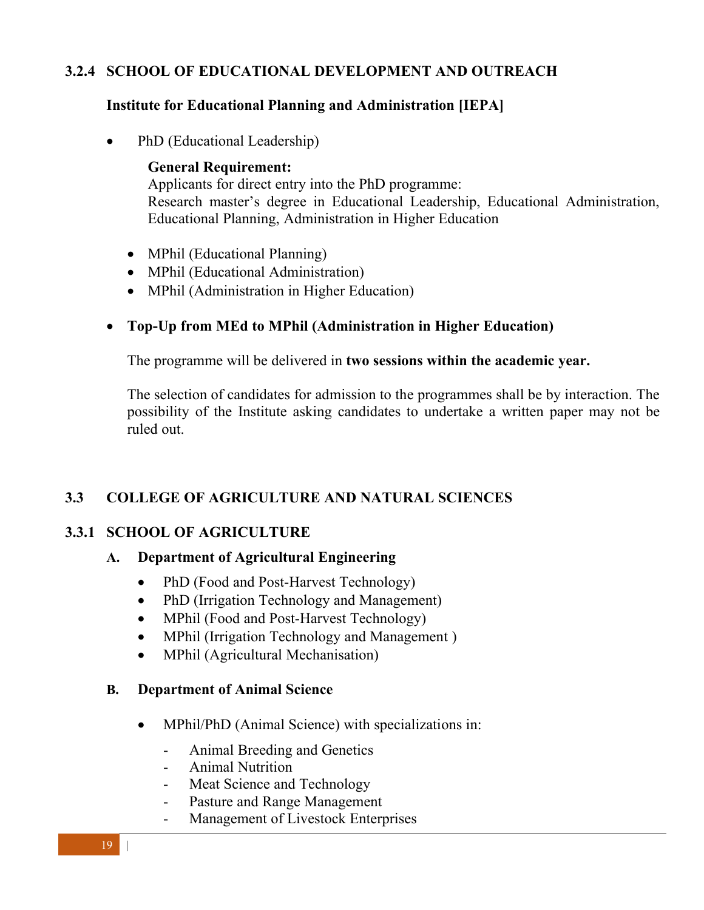# **3.2.4 SCHOOL OF EDUCATIONAL DEVELOPMENT AND OUTREACH**

## **Institute for Educational Planning and Administration [IEPA]**

• PhD (Educational Leadership)

## **General Requirement:**

Applicants for direct entry into the PhD programme: Research master's degree in Educational Leadership, Educational Administration, Educational Planning, Administration in Higher Education

- MPhil (Educational Planning)
- MPhil (Educational Administration)
- MPhil (Administration in Higher Education)

# • **Top-Up from MEd to MPhil (Administration in Higher Education)**

The programme will be delivered in **two sessions within the academic year.**

The selection of candidates for admission to the programmes shall be by interaction. The possibility of the Institute asking candidates to undertake a written paper may not be ruled out.

# **3.3 COLLEGE OF AGRICULTURE AND NATURAL SCIENCES**

# **3.3.1 SCHOOL OF AGRICULTURE**

# **A. Department of Agricultural Engineering**

- PhD (Food and Post-Harvest Technology)
- PhD (Irrigation Technology and Management)
- MPhil (Food and Post-Harvest Technology)
- MPhil (Irrigation Technology and Management)
- MPhil (Agricultural Mechanisation)

# **B. Department of Animal Science**

- MPhil/PhD (Animal Science) with specializations in:
	- Animal Breeding and Genetics
	- Animal Nutrition
	- Meat Science and Technology
	- Pasture and Range Management
	- Management of Livestock Enterprises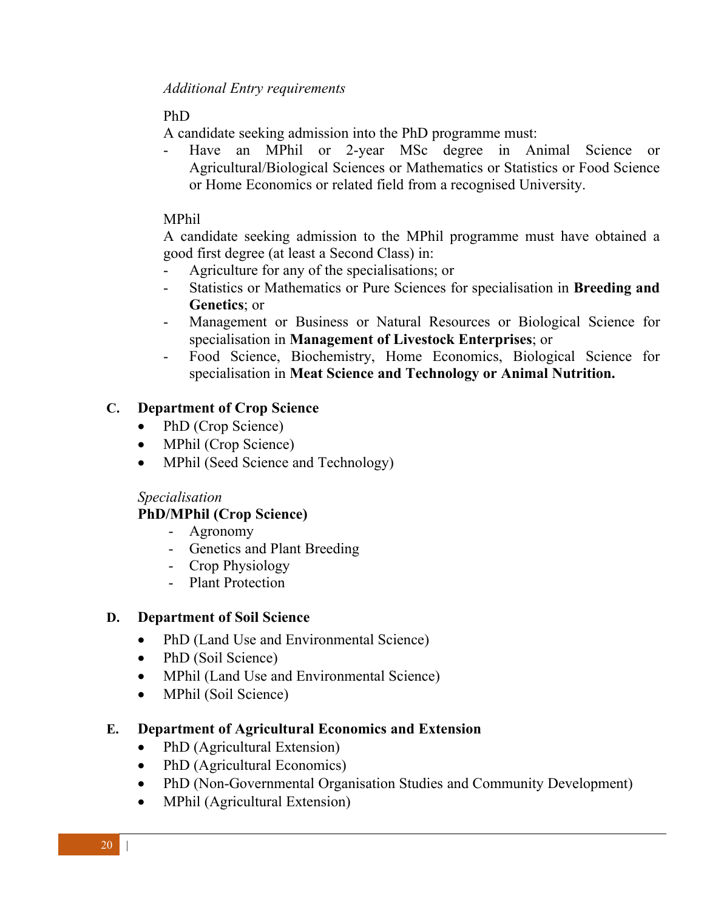*Additional Entry requirements*

# PhD

A candidate seeking admission into the PhD programme must:

Have an MPhil or 2-year MSc degree in Animal Science or Agricultural/Biological Sciences or Mathematics or Statistics or Food Science or Home Economics or related field from a recognised University.

## MPhil

A candidate seeking admission to the MPhil programme must have obtained a good first degree (at least a Second Class) in:

- Agriculture for any of the specialisations; or
- Statistics or Mathematics or Pure Sciences for specialisation in **Breeding and Genetics**; or
- Management or Business or Natural Resources or Biological Science for specialisation in **Management of Livestock Enterprises**; or
- Food Science, Biochemistry, Home Economics, Biological Science for specialisation in **Meat Science and Technology or Animal Nutrition.**

# **C. Department of Crop Science**

- PhD (Crop Science)
- MPhil (Crop Science)
- MPhil (Seed Science and Technology)

## *Specialisation*

# **PhD/MPhil (Crop Science)**

- Agronomy
- Genetics and Plant Breeding
- Crop Physiology
- Plant Protection

## **D. Department of Soil Science**

- PhD (Land Use and Environmental Science)
- PhD (Soil Science)
- MPhil (Land Use and Environmental Science)
- MPhil (Soil Science)

# **E. Department of Agricultural Economics and Extension**

- PhD (Agricultural Extension)
- PhD (Agricultural Economics)
- PhD (Non-Governmental Organisation Studies and Community Development)
- MPhil (Agricultural Extension)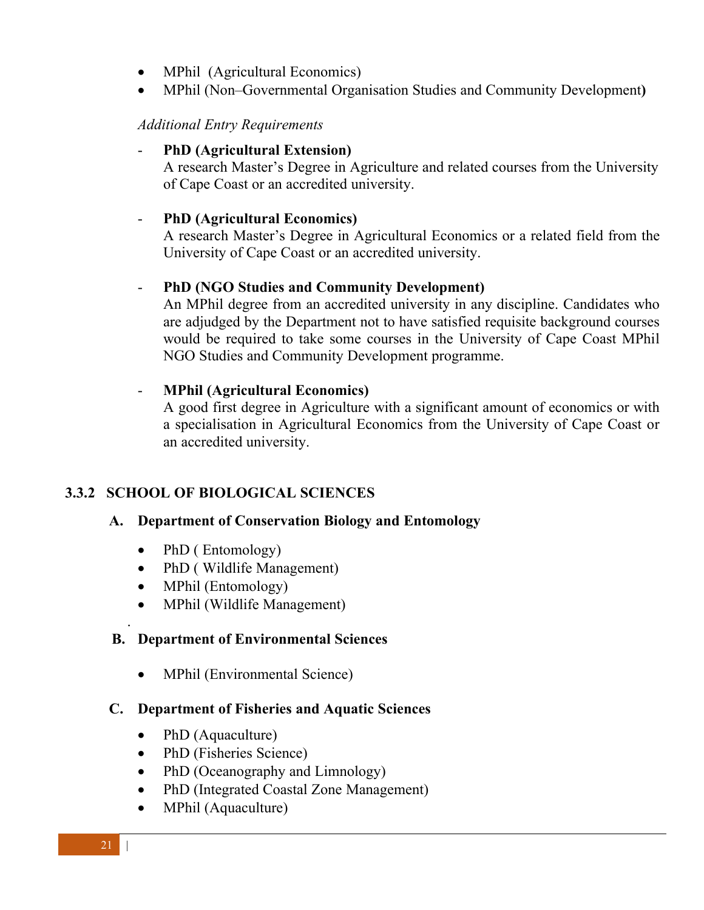- MPhil (Agricultural Economics)
- MPhil (Non–Governmental Organisation Studies and Community Development**)**

## *Additional Entry Requirements*

## - **PhD (Agricultural Extension)**

A research Master's Degree in Agriculture and related courses from the University of Cape Coast or an accredited university.

## - **PhD (Agricultural Economics)**

A research Master's Degree in Agricultural Economics or a related field from the University of Cape Coast or an accredited university.

## - **PhD (NGO Studies and Community Development)**

An MPhil degree from an accredited university in any discipline. Candidates who are adjudged by the Department not to have satisfied requisite background courses would be required to take some courses in the University of Cape Coast MPhil NGO Studies and Community Development programme.

## - **MPhil (Agricultural Economics)**

A good first degree in Agriculture with a significant amount of economics or with a specialisation in Agricultural Economics from the University of Cape Coast or an accredited university.

# **3.3.2 SCHOOL OF BIOLOGICAL SCIENCES**

## **A. Department of Conservation Biology and Entomology**

- PhD ( Entomology)
- PhD (Wildlife Management)
- MPhil (Entomology)
- MPhil (Wildlife Management)

# **B. Department of Environmental Sciences**

• MPhil (Environmental Science)

## **C. Department of Fisheries and Aquatic Sciences**

- PhD (Aquaculture)
- PhD (Fisheries Science)
- PhD (Oceanography and Limnology)
- PhD (Integrated Coastal Zone Management)
- MPhil (Aquaculture)

.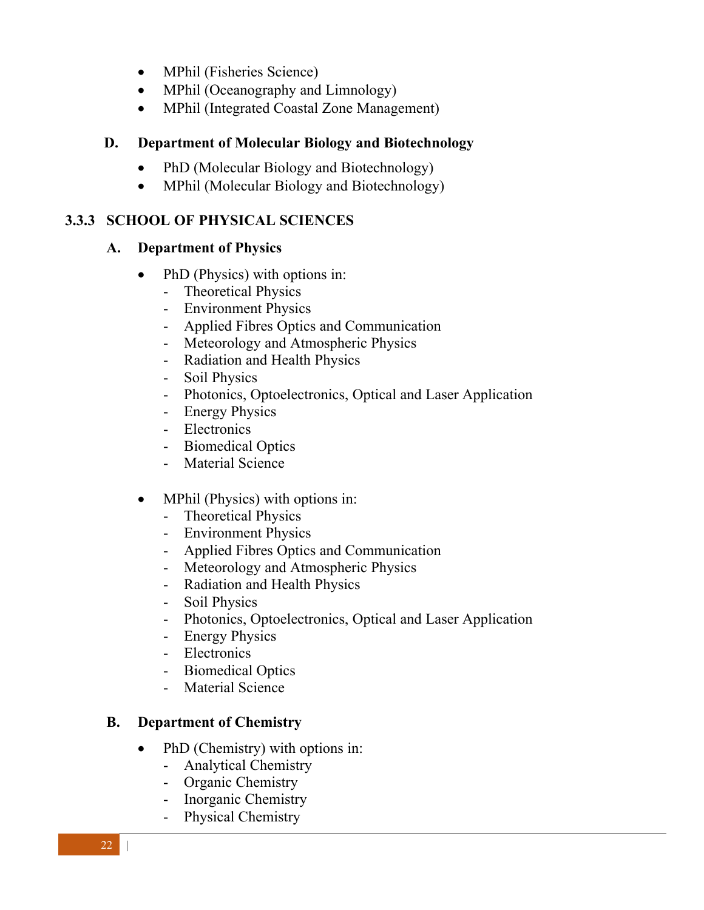- MPhil (Fisheries Science)
- MPhil (Oceanography and Limnology)
- MPhil (Integrated Coastal Zone Management)

## **D. Department of Molecular Biology and Biotechnology**

- PhD (Molecular Biology and Biotechnology)
- MPhil (Molecular Biology and Biotechnology)

# **3.3.3 SCHOOL OF PHYSICAL SCIENCES**

## **A. Department of Physics**

- PhD (Physics) with options in:
	- Theoretical Physics
	- Environment Physics
	- Applied Fibres Optics and Communication
	- Meteorology and Atmospheric Physics
	- Radiation and Health Physics
	- Soil Physics
	- Photonics, Optoelectronics, Optical and Laser Application
	- Energy Physics
	- Electronics
	- Biomedical Optics
	- Material Science
- MPhil (Physics) with options in:
	- Theoretical Physics
	- Environment Physics
	- Applied Fibres Optics and Communication
	- Meteorology and Atmospheric Physics
	- Radiation and Health Physics
	- Soil Physics
	- Photonics, Optoelectronics, Optical and Laser Application
	- Energy Physics
	- Electronics
	- Biomedical Optics
	- Material Science

# **B. Department of Chemistry**

- PhD (Chemistry) with options in:
	- Analytical Chemistry
	- Organic Chemistry
	- Inorganic Chemistry
	- Physical Chemistry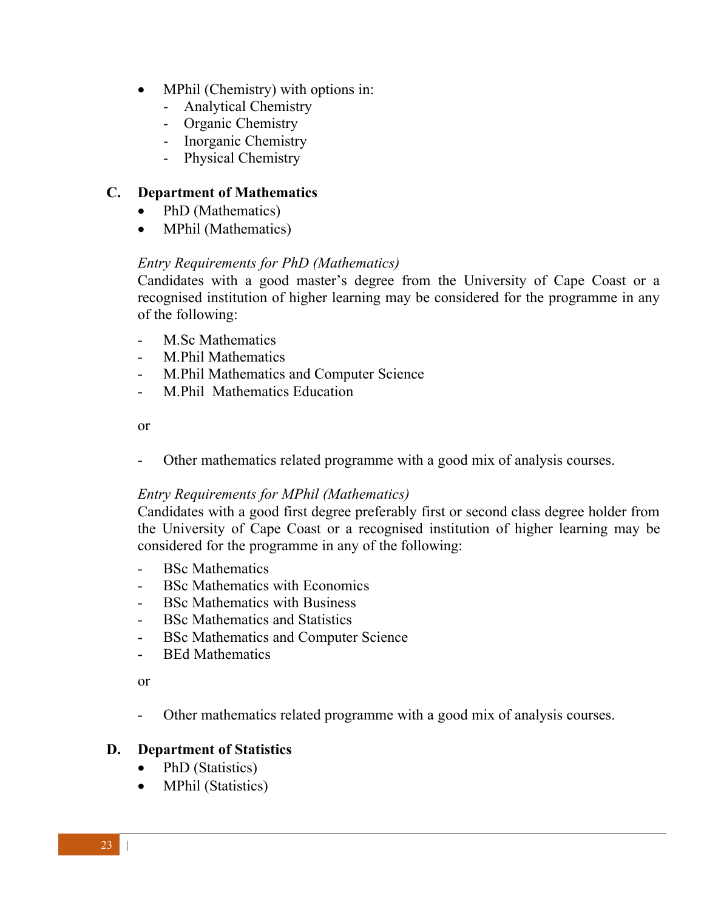- MPhil (Chemistry) with options in:
	- Analytical Chemistry
	- Organic Chemistry
	- Inorganic Chemistry
	- Physical Chemistry

## **C. Department of Mathematics**

- PhD (Mathematics)
- MPhil (Mathematics)

## *Entry Requirements for PhD (Mathematics)*

Candidates with a good master's degree from the University of Cape Coast or a recognised institution of higher learning may be considered for the programme in any of the following:

- M. Sc Mathematics
- M.Phil Mathematics
- M.Phil Mathematics and Computer Science
- M. Phil Mathematics Education

or

Other mathematics related programme with a good mix of analysis courses.

# *Entry Requirements for MPhil (Mathematics)*

Candidates with a good first degree preferably first or second class degree holder from the University of Cape Coast or a recognised institution of higher learning may be considered for the programme in any of the following:

- BSc Mathematics
- BSc Mathematics with Economics
- BSc Mathematics with Business
- BSc Mathematics and Statistics
- BSc Mathematics and Computer Science
- BEd Mathematics

or

- Other mathematics related programme with a good mix of analysis courses.

# **D. Department of Statistics**

- PhD (Statistics)
- MPhil (Statistics)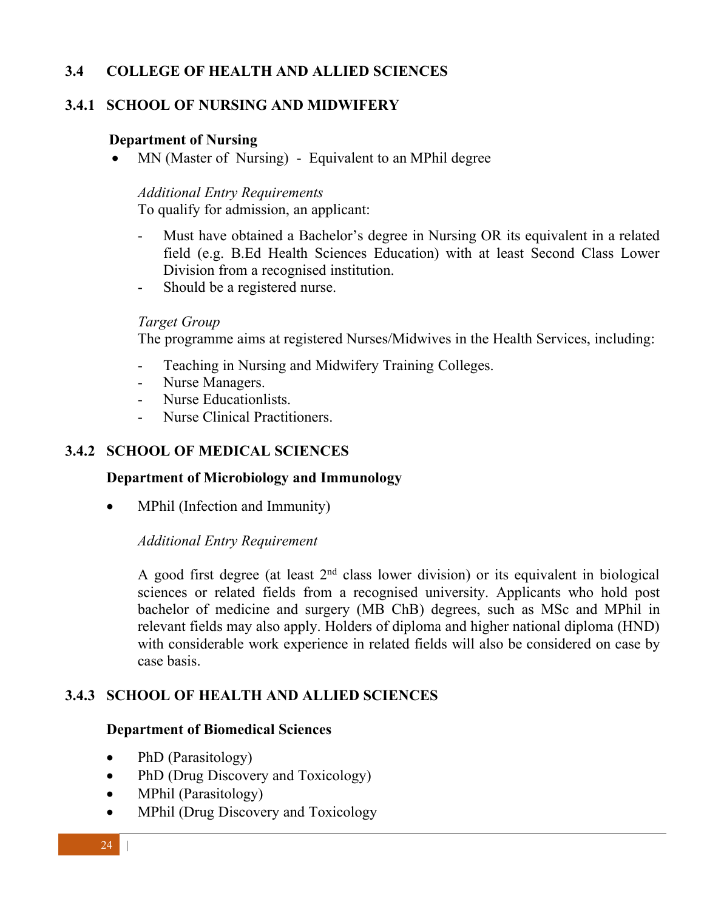## **3.4 COLLEGE OF HEALTH AND ALLIED SCIENCES**

## **3.4.1 SCHOOL OF NURSING AND MIDWIFERY**

### **Department of Nursing**

MN (Master of Nursing) - Equivalent to an MPhil degree

### *Additional Entry Requirements*

To qualify for admission, an applicant:

- Must have obtained a Bachelor's degree in Nursing OR its equivalent in a related field (e.g. B.Ed Health Sciences Education) with at least Second Class Lower Division from a recognised institution.
- Should be a registered nurse.

### *Target Group*

The programme aims at registered Nurses/Midwives in the Health Services, including:

- Teaching in Nursing and Midwifery Training Colleges.
- Nurse Managers.
- Nurse Educationlists.
- Nurse Clinical Practitioners.

## **3.4.2 SCHOOL OF MEDICAL SCIENCES**

#### **Department of Microbiology and Immunology**

• MPhil (Infection and Immunity)

*Additional Entry Requirement*

A good first degree (at least  $2<sup>nd</sup>$  class lower division) or its equivalent in biological sciences or related fields from a recognised university. Applicants who hold post bachelor of medicine and surgery (MB ChB) degrees, such as MSc and MPhil in relevant fields may also apply. Holders of diploma and higher national diploma (HND) with considerable work experience in related fields will also be considered on case by case basis.

## **3.4.3 SCHOOL OF HEALTH AND ALLIED SCIENCES**

#### **Department of Biomedical Sciences**

- PhD (Parasitology)
- PhD (Drug Discovery and Toxicology)
- MPhil (Parasitology)
- MPhil (Drug Discovery and Toxicology